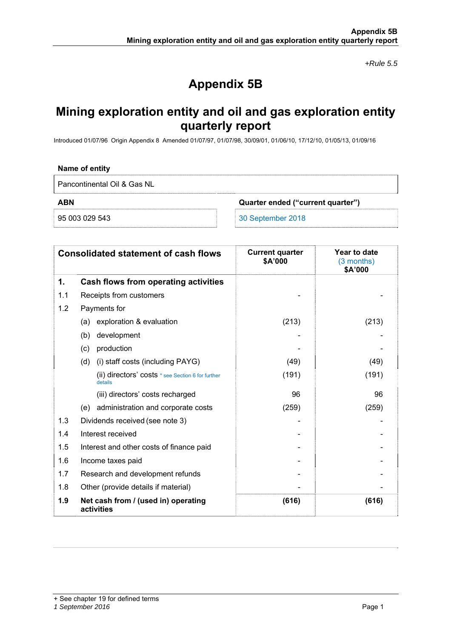*+Rule 5.5* 

# **Appendix 5B**

## **Mining exploration entity and oil and gas exploration entity quarterly report**

Introduced 01/07/96 Origin Appendix 8 Amended 01/07/97, 01/07/98, 30/09/01, 01/06/10, 17/12/10, 01/05/13, 01/09/16

### **Name of entity**

Pancontinental Oil & Gas NL

**ABN Quarter ended ("current quarter")** 

95 003 029 543 30 September 2018

| <b>Consolidated statement of cash flows</b> |                                                              | <b>Current quarter</b><br>\$A'000 | Year to date<br>$(3$ months)<br>\$A'000 |
|---------------------------------------------|--------------------------------------------------------------|-----------------------------------|-----------------------------------------|
| 1.                                          | Cash flows from operating activities                         |                                   |                                         |
| 1.1                                         | Receipts from customers                                      |                                   |                                         |
| 1.2                                         | Payments for                                                 |                                   |                                         |
|                                             | (a) exploration & evaluation                                 | (213)                             | (213)                                   |
|                                             | development<br>(b)                                           |                                   |                                         |
|                                             | production<br>(c)                                            |                                   |                                         |
|                                             | (i) staff costs (including PAYG)<br>(d)                      | (49)                              | (49)                                    |
|                                             | (ii) directors' costs * see Section 6 for further<br>details | (191)                             | (191)                                   |
|                                             | (iii) directors' costs recharged                             | 96                                | 96                                      |
|                                             | (e) administration and corporate costs                       | (259)                             | (259)                                   |
| 1.3                                         | Dividends received (see note 3)                              |                                   |                                         |
| 1.4                                         | Interest received                                            |                                   |                                         |
| 1.5                                         | Interest and other costs of finance paid                     |                                   |                                         |
| 1.6                                         | Income taxes paid                                            |                                   |                                         |
| 1.7                                         | Research and development refunds                             |                                   |                                         |
| 1.8                                         | Other (provide details if material)                          |                                   |                                         |
| 1.9                                         | Net cash from / (used in) operating<br>activities            | (616)                             | (616)                                   |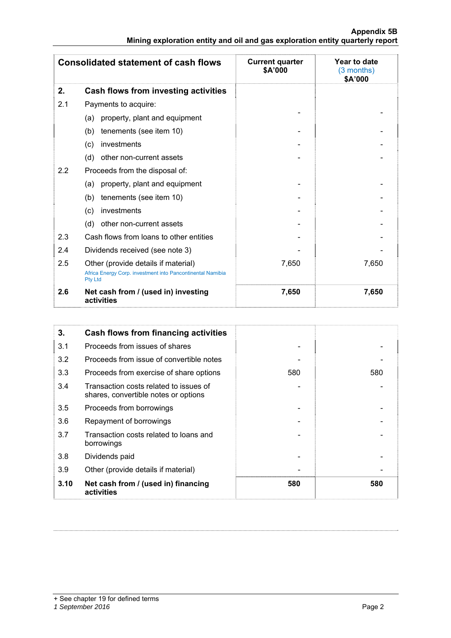|                                                                               |  |  | Appendix 5B |
|-------------------------------------------------------------------------------|--|--|-------------|
| Mining exploration entity and oil and gas exploration entity quarterly report |  |  |             |

| <b>Consolidated statement of cash flows</b> |                                                                                                   | <b>Current quarter</b><br>\$A'000 | Year to date<br>$(3$ months)<br>\$A'000 |
|---------------------------------------------|---------------------------------------------------------------------------------------------------|-----------------------------------|-----------------------------------------|
| 2.                                          | Cash flows from investing activities                                                              |                                   |                                         |
| 2.1                                         | Payments to acquire:                                                                              |                                   |                                         |
|                                             | property, plant and equipment<br>(a)                                                              |                                   |                                         |
|                                             | tenements (see item 10)<br>(b)                                                                    |                                   |                                         |
|                                             | investments<br>(c)                                                                                |                                   |                                         |
|                                             | (d)<br>other non-current assets                                                                   |                                   |                                         |
| 2.2                                         | Proceeds from the disposal of:                                                                    |                                   |                                         |
|                                             | property, plant and equipment<br>(a)                                                              |                                   |                                         |
|                                             | tenements (see item 10)<br>(b)                                                                    |                                   |                                         |
|                                             | investments<br>(c)                                                                                |                                   |                                         |
|                                             | (d)<br>other non-current assets                                                                   |                                   |                                         |
| 2.3                                         | Cash flows from loans to other entities                                                           |                                   |                                         |
| 2.4                                         | Dividends received (see note 3)                                                                   |                                   |                                         |
| 2.5                                         | Other (provide details if material)<br>Africa Energy Corp. investment into Pancontinental Namibia | 7,650                             | 7,650                                   |
|                                             | <b>Pty Ltd</b>                                                                                    |                                   |                                         |
| 2.6                                         | Net cash from / (used in) investing<br>activities                                                 | 7,650                             | 7,650                                   |

| 3.   | Cash flows from financing activities                                           |     |     |
|------|--------------------------------------------------------------------------------|-----|-----|
| 3.1  | Proceeds from issues of shares                                                 |     |     |
| 3.2  | Proceeds from issue of convertible notes                                       |     |     |
| 3.3  | Proceeds from exercise of share options                                        | 580 | 580 |
| 3.4  | Transaction costs related to issues of<br>shares, convertible notes or options |     |     |
| 3.5  | Proceeds from borrowings                                                       |     |     |
| 3.6  | Repayment of borrowings                                                        |     |     |
| 3.7  | Transaction costs related to loans and<br>borrowings                           |     |     |
| 3.8  | Dividends paid                                                                 |     |     |
| 3.9  | Other (provide details if material)                                            |     |     |
| 3.10 | Net cash from / (used in) financing<br>activities                              | 580 | 580 |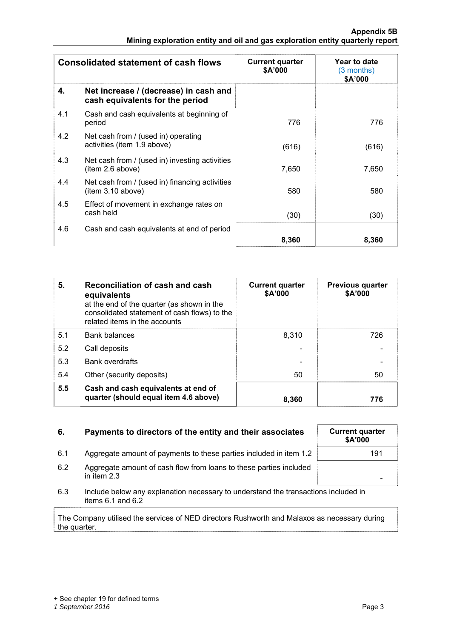| <b>Consolidated statement of cash flows</b> |                                                                          | <b>Current quarter</b><br>\$A'000 | Year to date<br>(3 months)<br>\$A'000 |
|---------------------------------------------|--------------------------------------------------------------------------|-----------------------------------|---------------------------------------|
| 4.                                          | Net increase / (decrease) in cash and<br>cash equivalents for the period |                                   |                                       |
| 4.1                                         | Cash and cash equivalents at beginning of<br>period                      | 776                               | 776                                   |
| 4.2                                         | Net cash from / (used in) operating<br>activities (item 1.9 above)       | (616)                             | (616)                                 |
| 4.3                                         | Net cash from / (used in) investing activities<br>item 2.6 above)        | 7,650                             | 7,650                                 |
| 4.4                                         | Net cash from / (used in) financing activities<br>(item 3.10 above)      | 580                               | 580                                   |
| 4.5                                         | Effect of movement in exchange rates on<br>cash held                     | (30)                              | (30)                                  |
| 4.6                                         | Cash and cash equivalents at end of period                               |                                   |                                       |
|                                             |                                                                          | 8,360                             | 8,360                                 |

| 5.  | Reconciliation of cash and cash<br>equivalents<br>at the end of the quarter (as shown in the<br>consolidated statement of cash flows) to the<br>related items in the accounts | <b>Current quarter</b><br>\$A'000 | <b>Previous quarter</b><br>\$A'000 |
|-----|-------------------------------------------------------------------------------------------------------------------------------------------------------------------------------|-----------------------------------|------------------------------------|
| 5.1 | <b>Bank balances</b>                                                                                                                                                          | 8.310                             | 726                                |
| 5.2 | Call deposits                                                                                                                                                                 |                                   |                                    |
| 5.3 | <b>Bank overdrafts</b>                                                                                                                                                        |                                   |                                    |
| 5.4 | Other (security deposits)                                                                                                                                                     | 50                                | 50                                 |
| 5.5 | Cash and cash equivalents at end of<br>quarter (should equal item 4.6 above)                                                                                                  | 8.360                             | 776                                |

| 6.  | Payments to directors of the entity and their associates                                                    | <b>Current quarter</b><br>\$A'000 |
|-----|-------------------------------------------------------------------------------------------------------------|-----------------------------------|
| 6.1 | Aggregate amount of payments to these parties included in item 1.2                                          | 191                               |
| 6.2 | Aggregate amount of cash flow from loans to these parties included<br>in item $2.3$                         |                                   |
| 6.3 | Include below any explanation necessary to understand the transactions included in<br>items $6.1$ and $6.2$ |                                   |

The Company utilised the services of NED directors Rushworth and Malaxos as necessary during the quarter.

| <b>Current quarter</b><br>\$A'000 |     |
|-----------------------------------|-----|
|                                   | 191 |
|                                   |     |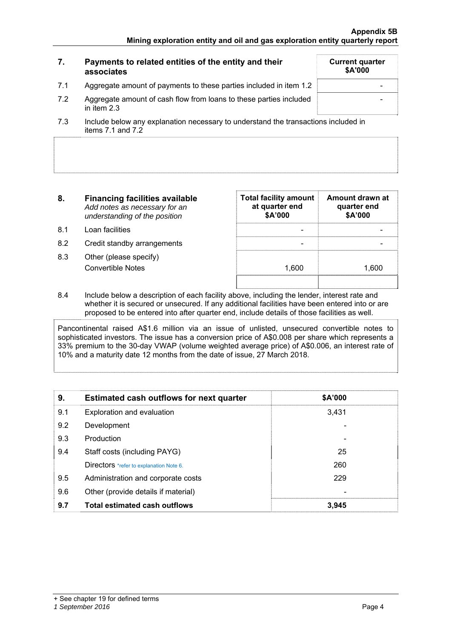|     | Payments to related entities of the entity and their<br>associates                  | <b>Current quarter</b><br><b>\$A'000</b> |
|-----|-------------------------------------------------------------------------------------|------------------------------------------|
| 7.1 | Aggregate amount of payments to these parties included in item 1.2                  |                                          |
| 7.2 | Aggregate amount of cash flow from loans to these parties included<br>in item $2.3$ |                                          |
| 72  | loclude below any explanation persecant to understand the transactions included in  |                                          |

- 7.3 Include below any explanation necessary to understand the transactions included in items 7.1 and 7.2
- **8. Financing facilities available** *Add notes as necessary for an understanding of the position*
- 8.1 Loan facilities
- 8.2 Credit standby arrangements
- 8.3 Other (please specify) Convertible Notes

| <b>Total facility amount</b><br>at quarter end<br>\$A'000 | Amount drawn at<br>quarter end<br>\$A'000 |
|-----------------------------------------------------------|-------------------------------------------|
|                                                           |                                           |
| 1,600                                                     | 1,600                                     |

8.4 Include below a description of each facility above, including the lender, interest rate and whether it is secured or unsecured. If any additional facilities have been entered into or are proposed to be entered into after quarter end, include details of those facilities as well.

Pancontinental raised A\$1.6 million via an issue of unlisted, unsecured convertible notes to sophisticated investors. The issue has a conversion price of A\$0.008 per share which represents a 33% premium to the 30-day VWAP (volume weighted average price) of A\$0.006, an interest rate of 10% and a maturity date 12 months from the date of issue, 27 March 2018.

| 9.  | <b>Estimated cash outflows for next quarter</b> | \$A'000 |  |
|-----|-------------------------------------------------|---------|--|
| 9.1 | Exploration and evaluation                      | 3,431   |  |
| 9.2 | Development                                     |         |  |
| 9.3 | Production                                      |         |  |
| 9.4 | Staff costs (including PAYG)                    | 25      |  |
|     | Directors *refer to explanation Note 6.         | 260     |  |
| 9.5 | Administration and corporate costs              | 229     |  |
| 9.6 | Other (provide details if material)             |         |  |
| 9.7 | <b>Total estimated cash outflows</b>            | 3.945   |  |